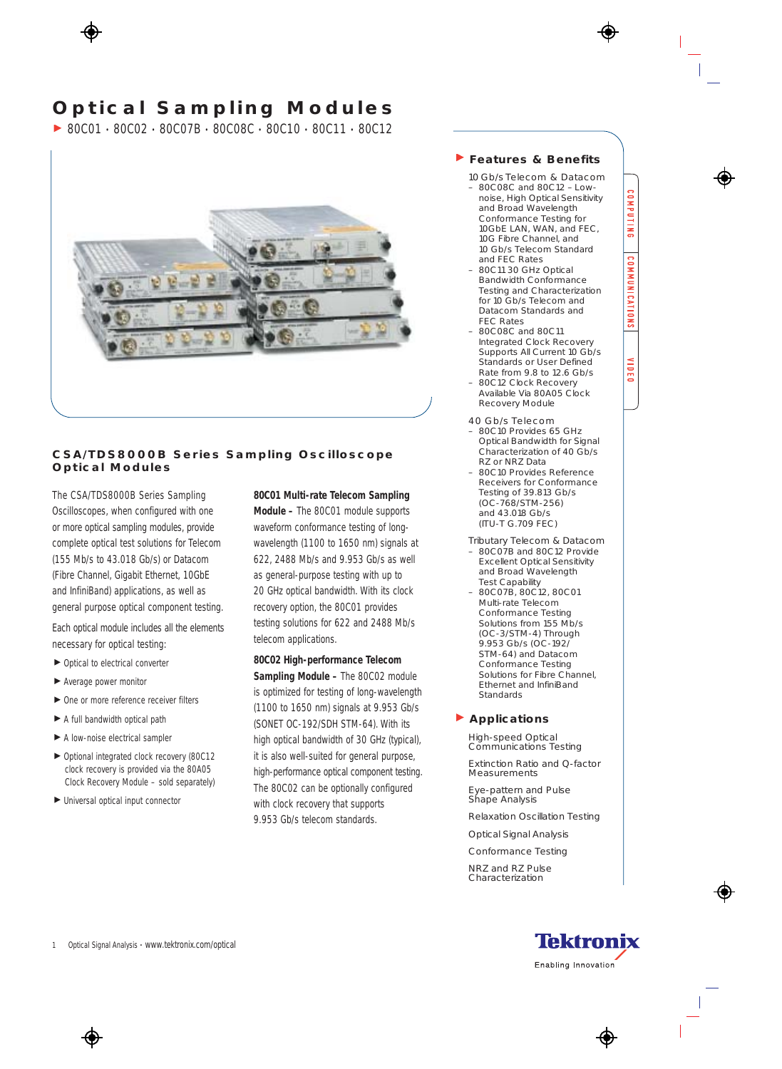▶ 80C01 • 80C02 • 80C07B • 80C08C • 80C10 • 80C11 • 80C12



## **CSA/TDS8000B Series Sampling Oscilloscope Optical Modules**

The CSA/TDS8000B Series Sampling Oscilloscopes, when configured with one or more optical sampling modules, provide complete optical test solutions for Telecom (155 Mb/s to 43.018 Gb/s) or Datacom (Fibre Channel, Gigabit Ethernet, 10GbE and InfiniBand) applications, as well as general purpose optical component testing.

Each optical module includes all the elements necessary for optical testing:

- ▶ Optical to electrical converter
- Average power monitor
- ▶ One or more reference receiver filters
- A full bandwidth optical path
- A low-noise electrical sampler
- ▶ Optional integrated clock recovery (80C12 clock recovery is provided via the 80A05 Clock Recovery Module – sold separately)
- Universal optical input connector

# **80C01 Multi-rate Telecom Sampling**

**Module –** The 80C01 module supports waveform conformance testing of longwavelength (1100 to 1650 nm) signals at 622, 2488 Mb/s and 9.953 Gb/s as well as general-purpose testing with up to 20 GHz optical bandwidth. With its clock recovery option, the 80C01 provides testing solutions for 622 and 2488 Mb/s telecom applications.

### **80C02 High-performance Telecom**

**Sampling Module –** The 80C02 module is optimized for testing of long-wavelength (1100 to 1650 nm) signals at 9.953 Gb/s (SONET OC-192/SDH STM-64). With its high optical bandwidth of 30 GHz (typical), it is also well-suited for general purpose, high-performance optical component testing. The 80C02 can be optionally configured with clock recovery that supports 9.953 Gb/s telecom standards.

### **Features & Benefits**

### 10 Gb/sTelecom & Datacom

- 80C08C and 80C12 Lownoise, High Optical Sensitivity and Broad Wavelength Conformance Testing for 10GbE LAN, WAN, and FEC, 10G Fibre Channel, and 10 Gb/s Telecom Standard and FEC Rates
- 80C11 30 GHz Optical Bandwidth Conformance Testing and Characterization for 10 Gb/s Telecom and Datacom Standards and FEC Rates
- 80C08C and 80C11 Integrated Clock Recovery Supports All Current 10 Gb/s Standards or User Defined Rate from 9.8 to 12.6 Gb/s – 80C12 Clock Recovery
- Available Via 80A05 Clock Recovery Module

### 40 Gb/s Telecom

- 80C10 Provides 65 GHz Optical Bandwidth for Signal Characterization of 40 Gb/s RZ or NRZ Data
- 80C10 Provides Reference Receivers for Conformance Testing of 39.813 Gb/s (OC-768/STM-256) and 43.018 Gb/s (ITU-T G.709 FEC)
- Tributary Telecom & Datacom – 80C07B and 80C12 Provide Excellent Optical Sensitivity and Broad Wavelength Test Capability
- 80C07B, 80C12, 80C01 Multi-rate Telecom Conformance Testing Solutions from 155 Mb/s (OC-3/STM-4) Through 9.953 Gb/s (OC-192/ STM-64) and Datacom Conformance Testing Solutions for Fibre Channel, Ethernet and InfiniBand **Standards**

# **Applications**

High-speed Optical Communications Testing

Extinction Ratio and Q-factor Measurements

Eye-pattern and Pulse Shape Analysis

Relaxation Oscillation Testing

Optical Signal Analysis

Conformance Testing

NRZ and RZ Pulse Characterization

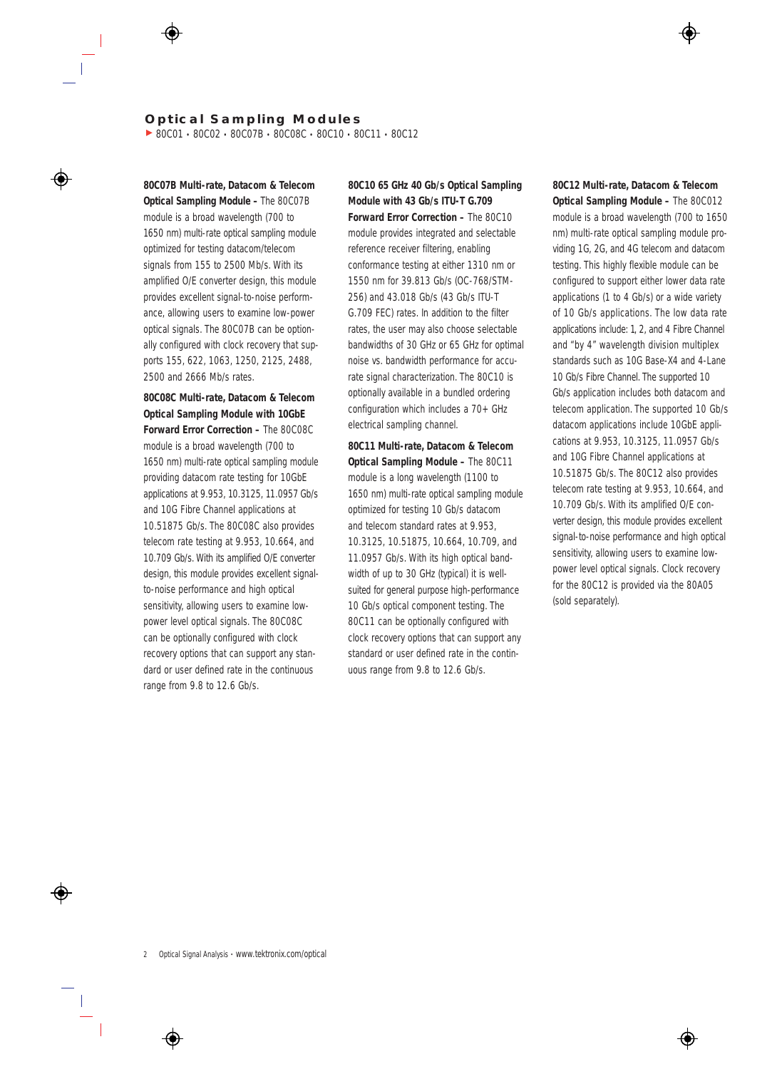**80C07B Multi-rate, Datacom & Telecom Optical Sampling Module –** The 80C07B module is a broad wavelength (700 to 1650 nm) multi-rate optical sampling module optimized for testing datacom/telecom signals from 155 to 2500 Mb/s. With its amplified O/E converter design, this module provides excellent signal-to-noise performance, allowing users to examine low-power optical signals. The 80C07B can be optionally configured with clock recovery that supports 155, 622, 1063, 1250, 2125, 2488, 2500 and 2666 Mb/s rates.

**80C08C Multi-rate, Datacom & Telecom Optical Sampling Module with 10GbE Forward Error Correction –** The 80C08C module is a broad wavelength (700 to 1650 nm) multi-rate optical sampling module providing datacom rate testing for 10GbE applications at 9.953, 10.3125, 11.0957 Gb/s and 10G Fibre Channel applications at 10.51875 Gb/s. The 80C08C also provides telecom rate testing at 9.953, 10.664, and 10.709 Gb/s. With its amplified O/E converter design, this module provides excellent signalto-noise performance and high optical sensitivity, allowing users to examine lowpower level optical signals. The 80C08C can be optionally configured with clock recovery options that can support any standard or user defined rate in the continuous range from 9.8 to 12.6 Gb/s.

# **80C10 65 GHz 40 Gb/s Optical Sampling Module with 43 Gb/s ITU-T G.709**

**Forward Error Correction –** The 80C10 module provides integrated and selectable reference receiver filtering, enabling conformance testing at either 1310 nm or 1550 nm for 39.813 Gb/s (OC-768/STM-256) and 43.018 Gb/s (43 Gb/s ITU-T G.709 FEC) rates. In addition to the filter rates, the user may also choose selectable bandwidths of 30 GHz or 65 GHz for optimal noise vs. bandwidth performance for accurate signal characterization. The 80C10 is optionally available in a bundled ordering configuration which includes a 70+ GHz electrical sampling channel.

**80C11 Multi-rate, Datacom & Telecom Optical Sampling Module –** The 80C11 module is a long wavelength (1100 to 1650 nm) multi-rate optical sampling module optimized for testing 10 Gb/s datacom and telecom standard rates at 9.953, 10.3125, 10.51875, 10.664, 10.709, and 11.0957 Gb/s. With its high optical bandwidth of up to 30 GHz (typical) it is wellsuited for general purpose high-performance 10 Gb/s optical component testing. The 80C11 can be optionally configured with clock recovery options that can support any standard or user defined rate in the continuous range from 9.8 to 12.6 Gb/s.

**80C12 Multi-rate, Datacom & Telecom Optical Sampling Module –** The 80C012 module is a broad wavelength (700 to 1650 nm) multi-rate optical sampling module providing 1G, 2G, and 4G telecom and datacom testing. This highly flexible module can be configured to support either lower data rate applications (1 to 4 Gb/s) or a wide variety of 10 Gb/s applications. The low data rate applications include: 1, 2, and 4 Fibre Channel and "by 4" wavelength division multiplex standards such as 10G Base-X4 and 4-Lane 10 Gb/s Fibre Channel. The supported 10 Gb/s application includes both datacom and telecom application. The supported 10 Gb/s datacom applications include 10GbE applications at 9.953, 10.3125, 11.0957 Gb/s and 10G Fibre Channel applications at 10.51875 Gb/s. The 80C12 also provides telecom rate testing at 9.953, 10.664, and 10.709 Gb/s. With its amplified O/E converter design, this module provides excellent signal-to-noise performance and high optical sensitivity, allowing users to examine lowpower level optical signals. Clock recovery for the 80C12 is provided via the 80A05 (sold separately).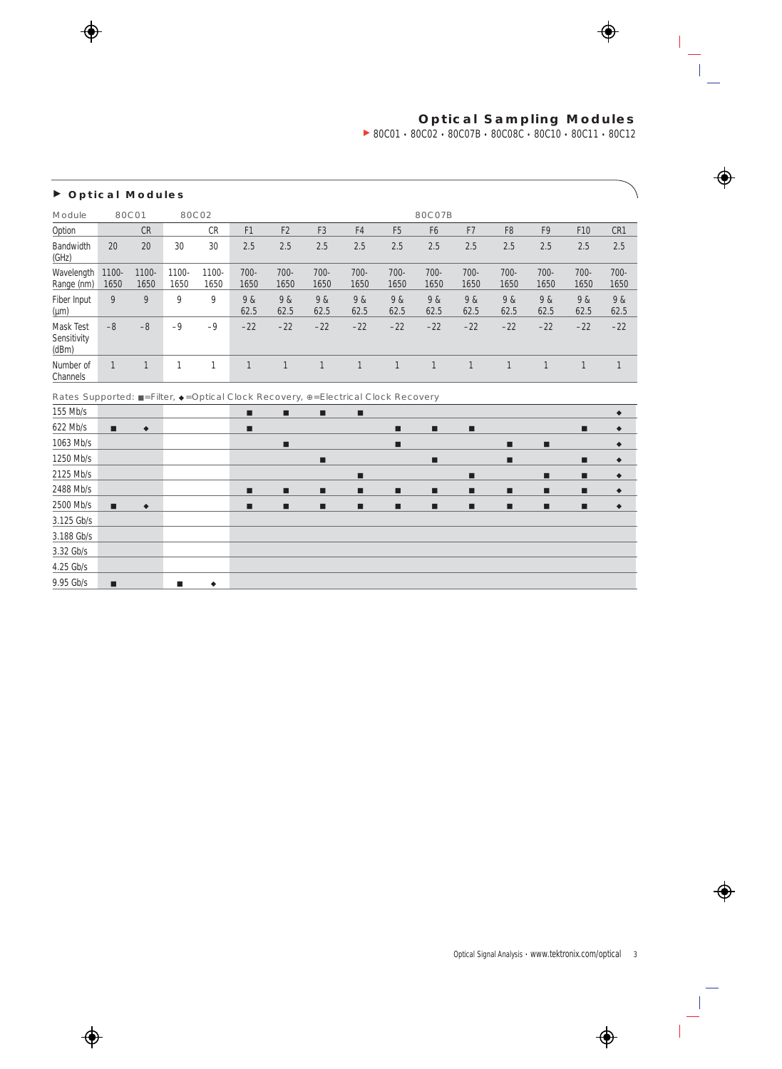80C01 • 80C02 • 80C07B • 80C08C • 80C10 • 80C11 • 80C12

### **Optical Modules**

| Module                            |               | 80C01            |               | 80C02         |                 |                 |                 |                 |                 | 80C07B          |                 |                 |                 |                 |                 |
|-----------------------------------|---------------|------------------|---------------|---------------|-----------------|-----------------|-----------------|-----------------|-----------------|-----------------|-----------------|-----------------|-----------------|-----------------|-----------------|
| Option                            |               | <b>CR</b>        |               | <b>CR</b>     | F <sub>1</sub>  | F <sub>2</sub>  | F <sub>3</sub>  | F <sub>4</sub>  | F <sub>5</sub>  | F <sub>6</sub>  | F <sub>7</sub>  | F <sub>8</sub>  | F <sub>9</sub>  | F <sub>10</sub> | CR <sub>1</sub> |
| Bandwidth<br>(GHz)                | 20            | 20               | 30            | 30            | 2.5             | 2.5             | 2.5             | 2.5             | 2.5             | 2.5             | 2.5             | 2.5             | 2.5             | 2.5             | 2.5             |
| Wavelength<br>Range (nm)          | 1100-<br>1650 | $1100 -$<br>1650 | 1100-<br>1650 | 1100-<br>1650 | $700 -$<br>1650 | $700 -$<br>1650 | $700 -$<br>1650 | $700 -$<br>1650 | $700 -$<br>1650 | $700 -$<br>1650 | $700 -$<br>1650 | $700 -$<br>1650 | $700 -$<br>1650 | $700 -$<br>1650 | $700 -$<br>1650 |
| Fiber Input<br>$(\mu m)$          | 9             | 9                | 9             | 9             | 9 &<br>62.5     | 9 &<br>62.5     | 9 &<br>62.5     | 9 &<br>62.5     | 9 &<br>62.5     | 9 &<br>62.5     | 9 &<br>62.5     | 9 &<br>62.5     | 9 &<br>62.5     | 9 &<br>62.5     | 9 &<br>62.5     |
| Mask Test<br>Sensitivity<br>(dBm) | $-8$          | $-8$             | $-9$          | $-9$          | $-22$           | $-22$           | $-22$           | $-22$           | $-22$           | $-22$           | $-22$           | $-22$           | $-22$           | $-22$           | $-22$           |
| Number of<br>Channels             |               |                  |               |               |                 |                 | $\mathbf{1}$    |                 |                 |                 |                 |                 |                 |                 |                 |

Rates Supported: ■ =Filter, ◆ =Optical Clock Recovery, ⊕=Electrical Clock Recovery

| 155 Mb/s                                       |                     | $\blacksquare$ | п | $\blacksquare$ | п |   |                |   |                |   |                | ٠ |
|------------------------------------------------|---------------------|----------------|---|----------------|---|---|----------------|---|----------------|---|----------------|---|
| 622 Mb/s<br>$\blacksquare$<br>$\bullet$        |                     | $\blacksquare$ |   |                |   | п | п              | п |                |   | ш              | ۰ |
| 1063 Mb/s                                      |                     |                | п |                |   | п |                |   | п              | п |                | ۰ |
| 1250 Mb/s                                      |                     |                |   | $\blacksquare$ |   |   | $\blacksquare$ |   | $\blacksquare$ |   | $\blacksquare$ | ۰ |
| 2125 Mb/s                                      |                     |                |   |                | п |   |                | п |                | п | п              | ۰ |
| 2488 Mb/s                                      |                     | $\blacksquare$ | ш | п              | п | п | ш              | п | п              | п | п              | ۰ |
| 2500 Mb/s<br>$\blacksquare$<br>$\blacklozenge$ |                     | $\blacksquare$ | п | $\blacksquare$ | ш | п | п              | п | $\blacksquare$ | п | п              | ۰ |
| 3.125 Gb/s                                     |                     |                |   |                |   |   |                |   |                |   |                |   |
| 3.188 Gb/s                                     |                     |                |   |                |   |   |                |   |                |   |                |   |
| 3.32 Gb/s                                      |                     |                |   |                |   |   |                |   |                |   |                |   |
| $4.25$ Gb/s                                    |                     |                |   |                |   |   |                |   |                |   |                |   |
| 9.95 Gb/s<br>п                                 | $\blacksquare$<br>۰ |                |   |                |   |   |                |   |                |   |                |   |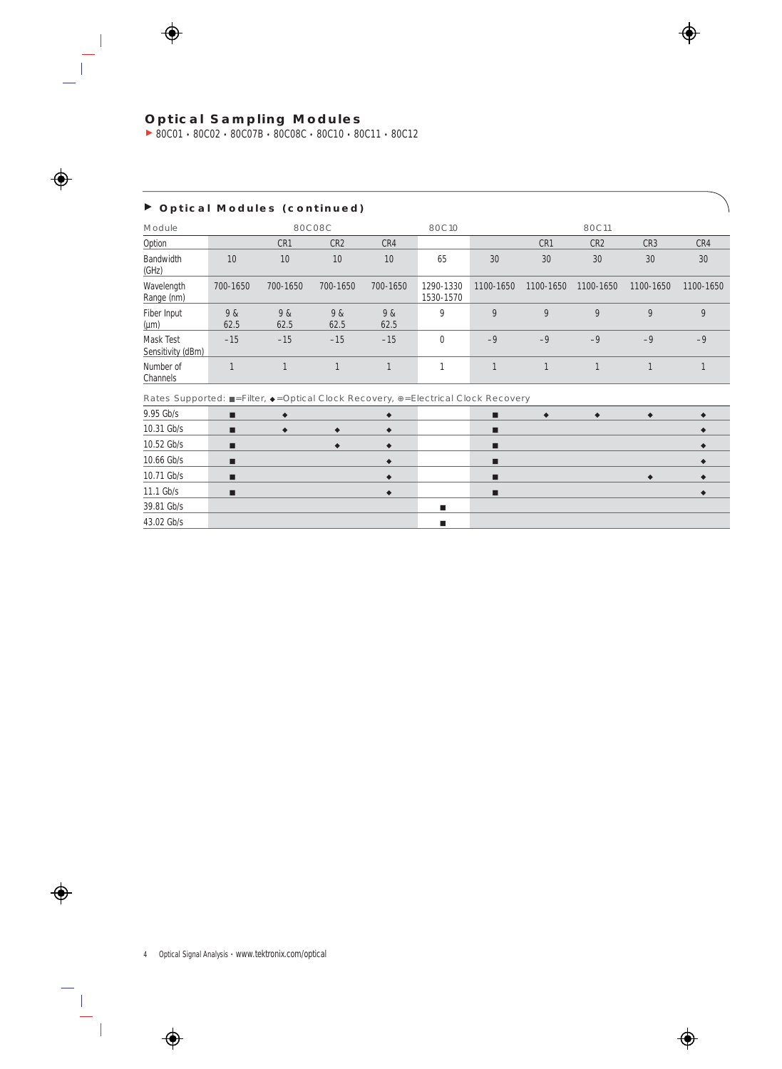80C01 • 80C02 • 80C07B • 80C08C • 80C10 • 80C11 • 80C12

|  |  |  | ▶ Optical Modules (continued) |
|--|--|--|-------------------------------|
|--|--|--|-------------------------------|

| Module                         |             |                 | 80C08C          |             | 80C10                  |           |                 | 80C11           |                 |           |
|--------------------------------|-------------|-----------------|-----------------|-------------|------------------------|-----------|-----------------|-----------------|-----------------|-----------|
| Option                         |             | CR <sub>1</sub> | CR <sub>2</sub> | CR4         |                        |           | CR <sub>1</sub> | CR <sub>2</sub> | CR <sub>3</sub> | CR4       |
| Bandwidth<br>(GHz)             | 10          | 10              | 10              | 10          | 65                     | 30        | 30              | 30              | 30              | 30        |
| Wavelength<br>Range (nm)       | 700-1650    | 700-1650        | 700-1650        | 700-1650    | 1290-1330<br>1530-1570 | 1100-1650 | 1100-1650       | 1100-1650       | 1100-1650       | 1100-1650 |
| Fiber Input<br>$(\mu m)$       | 9 &<br>62.5 | 9 &<br>62.5     | 9 &<br>62.5     | 9 &<br>62.5 | 9                      | 9         | 9               | 9               | 9               | 9         |
| Mask Test<br>Sensitivity (dBm) | $-15$       | $-15$           | $-15$           | $-15$       | $\mathbf 0$            | $-9$      | $-9$            | $-9$            | $-9$            | $-9$      |
| Number of<br>Channels          |             |                 |                 |             |                        |           |                 |                 |                 |           |

Rates Supported: ■ =Filter, ◆ =Optical Clock Recovery, ⊕=Electrical Clock Recovery

| 9.95 Gb/s   | п |  |  | п | $\bullet$ |  |  |
|-------------|---|--|--|---|-----------|--|--|
| 10.31 Gb/s  | п |  |  | п |           |  |  |
| 10.52 Gb/s  | п |  |  | п |           |  |  |
| 10.66 Gb/s  |   |  |  | п |           |  |  |
| 10.71 Gb/s  |   |  |  | п |           |  |  |
| $11.1$ Gb/s | п |  |  |   |           |  |  |
| 39.81 Gb/s  |   |  |  |   |           |  |  |
| 43.02 Gb/s  |   |  |  |   |           |  |  |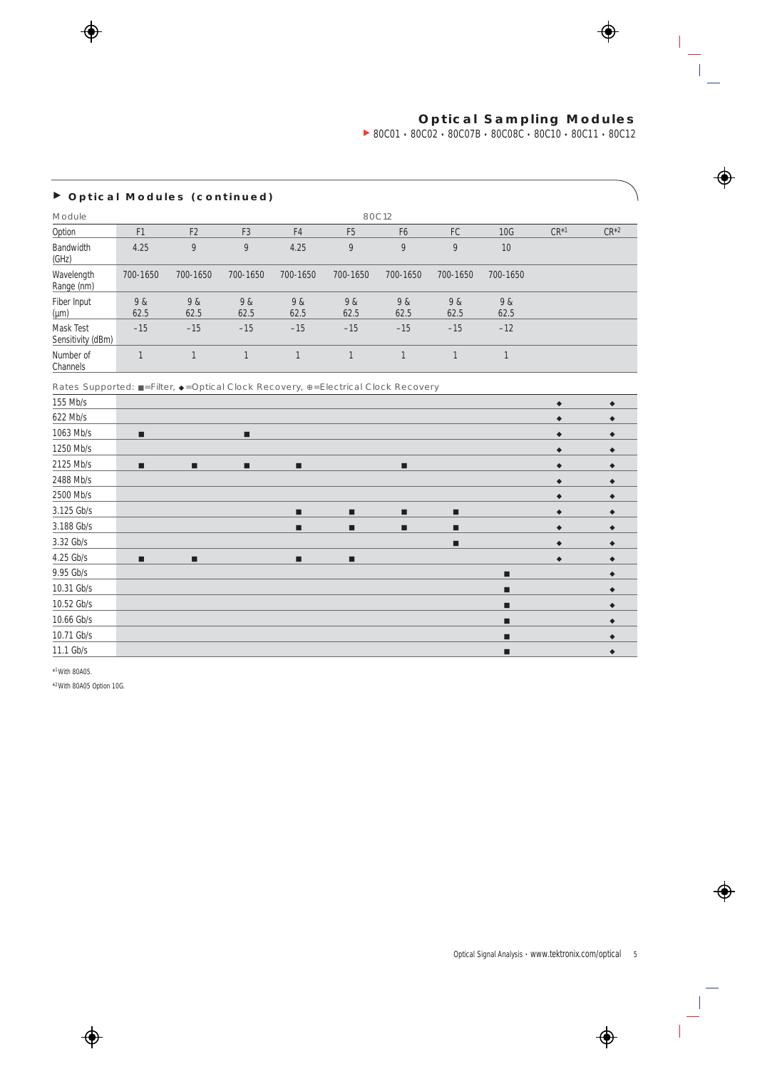80C01 • 80C02 • 80C07B • 80C08C • 80C10 • 80C11 • 80C12

### **Optical Modules (continued)**

| Module                         |                |                |                |                |                | 80C12          |             |             |           |           |
|--------------------------------|----------------|----------------|----------------|----------------|----------------|----------------|-------------|-------------|-----------|-----------|
| Option                         | F <sub>1</sub> | F <sub>2</sub> | F <sub>3</sub> | F <sub>4</sub> | F <sub>5</sub> | F <sub>6</sub> | <b>FC</b>   | 10G         | $CR^{*1}$ | $CR^{*2}$ |
| Bandwidth<br>(GHz)             | 4.25           | 9              | 9              | 4.25           | 9              | 9              | 9           | 10          |           |           |
| Wavelength<br>Range (nm)       | 700-1650       | 700-1650       | 700-1650       | 700-1650       | 700-1650       | 700-1650       | 700-1650    | 700-1650    |           |           |
| Fiber Input<br>$(\mu m)$       | 9 &<br>62.5    | 9 &<br>62.5    | 9 &<br>62.5    | 9 &<br>62.5    | 9 &<br>62.5    | 9 &<br>62.5    | 9 &<br>62.5 | 9 &<br>62.5 |           |           |
| Mask Test<br>Sensitivity (dBm) | $-15$          | $-15$          | $-15$          | $-15$          | $-15$          | $-15$          | $-15$       | $-12$       |           |           |
| Number of<br>Channels          |                |                |                |                |                |                |             |             |           |           |

#### Rates Supported: ■ =Filter, ◆ =Optical Clock Recovery, ⊕=Electrical Clock Recovery

| 155 Mb/s    |                |                |                |   |                |   |                |   | $\bullet$ | $\blacklozenge$ |
|-------------|----------------|----------------|----------------|---|----------------|---|----------------|---|-----------|-----------------|
| 622 Mb/s    |                |                |                |   |                |   |                |   | ۰         |                 |
| 1063 Mb/s   | п              |                | $\blacksquare$ |   |                |   |                |   | ۰         | ∙               |
| 1250 Mb/s   |                |                |                |   |                |   |                |   | ۰         |                 |
| 2125 Mb/s   | $\blacksquare$ | $\blacksquare$ | $\blacksquare$ | ш |                | п |                |   | $\bullet$ |                 |
| 2488 Mb/s   |                |                |                |   |                |   |                |   | $\bullet$ |                 |
| 2500 Mb/s   |                |                |                |   |                |   |                |   |           |                 |
| 3.125 Gb/s  |                |                |                | п | $\blacksquare$ | п | п              |   | $\bullet$ | ∙               |
| 3.188 Gb/s  |                |                |                | п | $\blacksquare$ | п | $\blacksquare$ |   | $\bullet$ |                 |
| $3.32$ Gb/s |                |                |                |   |                |   | п              |   | $\bullet$ |                 |
| 4.25 Gb/s   | п              | $\blacksquare$ |                | п | $\blacksquare$ |   |                |   | $\bullet$ |                 |
| 9.95 Gb/s   |                |                |                |   |                |   |                | п |           |                 |
| 10.31 Gb/s  |                |                |                |   |                |   |                | ٠ |           |                 |
| 10.52 Gb/s  |                |                |                |   |                |   |                | п |           |                 |
| 10.66 Gb/s  |                |                |                |   |                |   |                | п |           |                 |
| 10.71 Gb/s  |                |                |                |   |                |   |                | п |           |                 |
| $11.1$ Gb/s |                |                |                |   |                |   |                | ■ |           |                 |

 $*1$  With 80A05.

\*2With 80A05 Option 10G.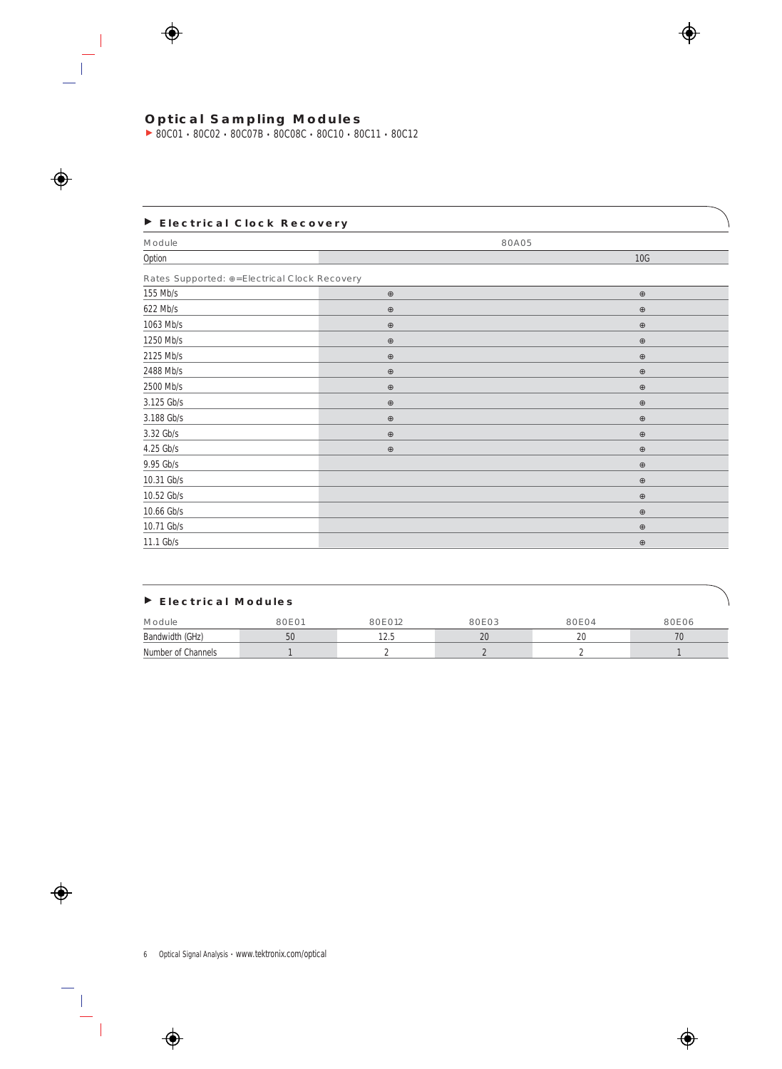80C01 • 80C02 • 80C07B • 80C08C • 80C10 • 80C11 • 80C12

### **Electrical Clock Recovery**

| Module                                        |          | 80A05    |
|-----------------------------------------------|----------|----------|
| Option                                        |          | 10G      |
| Rates Supported: @= Electrical Clock Recovery |          |          |
| 155 Mb/s                                      | $\oplus$ | $\oplus$ |
| 622 Mb/s                                      | $\oplus$ | $\oplus$ |
| 1063 Mb/s                                     | $\oplus$ | $\oplus$ |
| 1250 Mb/s                                     | $\oplus$ | $\oplus$ |
| 2125 Mb/s                                     | $\oplus$ | $\oplus$ |
| 2488 Mb/s                                     | $\oplus$ | $\oplus$ |
| 2500 Mb/s                                     | $\oplus$ | $\oplus$ |
| 3.125 Gb/s                                    | $\oplus$ | $\oplus$ |
| 3.188 Gb/s                                    | $\oplus$ | $\oplus$ |
| 3.32 Gb/s                                     | $\oplus$ | $\oplus$ |
| 4.25 Gb/s                                     | $\oplus$ | $\oplus$ |
| 9.95 Gb/s                                     |          | $\oplus$ |
| 10.31 Gb/s                                    |          | $\oplus$ |
| 10.52 Gb/s                                    |          | $\oplus$ |
| 10.66 Gb/s                                    |          | $\oplus$ |
| 10.71 Gb/s                                    |          | $\oplus$ |
| 11.1 Gb/s                                     |          | $\oplus$ |

| $\blacktriangleright$ Electrical Modules |       |        |       |       |       |  |  |  |  |  |
|------------------------------------------|-------|--------|-------|-------|-------|--|--|--|--|--|
| Module                                   | 80E01 | 80E012 | 80E03 | 80E04 | 80E06 |  |  |  |  |  |
| Bandwidth (GHz)                          | 50    | 12.5   | 20    | 20    | 70    |  |  |  |  |  |
| Number of Channels                       |       |        |       |       |       |  |  |  |  |  |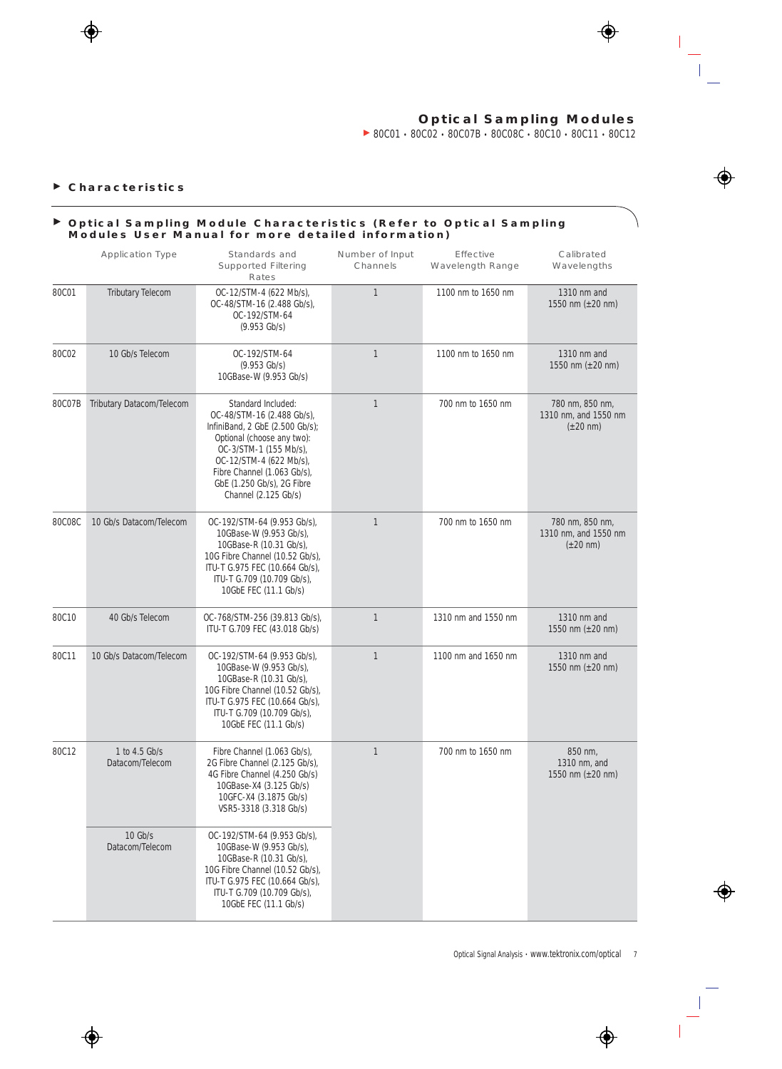80C01 • 80C02 • 80C07B • 80C08C • 80C10 • 80C11 • 80C12

### **Characteristics**

### **Optical Sampling Module Characteristics (Refer to Optical Sampling Modules User Manual for more detailed information)**

|        | <b>Application Type</b>          | Standards and<br><b>Supported Filtering</b><br>Rates                                                                                                                                                                                                        | Number of Input<br>Channels | <b>Effective</b><br><b>Wavelength Range</b> | Calibrated<br>Wavelengths                                        |
|--------|----------------------------------|-------------------------------------------------------------------------------------------------------------------------------------------------------------------------------------------------------------------------------------------------------------|-----------------------------|---------------------------------------------|------------------------------------------------------------------|
| 80C01  | <b>Tributary Telecom</b>         | OC-12/STM-4 (622 Mb/s),<br>OC-48/STM-16 (2.488 Gb/s),<br>OC-192/STM-64<br>$(9.953 \text{Gb/s})$                                                                                                                                                             | $\mathbf{1}$                | 1100 nm to 1650 nm                          | 1310 nm and<br>1550 nm $(\pm 20 \text{ nm})$                     |
| 80C02  | 10 Gb/s Telecom                  | OC-192/STM-64<br>$(9.953 \text{Gb/s})$<br>10GBase-W (9.953 Gb/s)                                                                                                                                                                                            | $\mathbf{1}$                | 1100 nm to 1650 nm                          | 1310 nm and<br>1550 nm $(\pm 20 \text{ nm})$                     |
| 80C07B | Tributary Datacom/Telecom        | Standard Included:<br>OC-48/STM-16 (2.488 Gb/s),<br>InfiniBand, 2 GbE (2.500 Gb/s);<br>Optional (choose any two):<br>OC-3/STM-1 (155 Mb/s),<br>OC-12/STM-4 (622 Mb/s),<br>Fibre Channel (1.063 Gb/s),<br>GbE (1.250 Gb/s), 2G Fibre<br>Channel (2.125 Gb/s) | $\mathbf{1}$                | 700 nm to 1650 nm                           | 780 nm, 850 nm,<br>1310 nm, and 1550 nm<br>$(\pm 20 \text{ nm})$ |
| 80C08C | 10 Gb/s Datacom/Telecom          | OC-192/STM-64 (9.953 Gb/s),<br>10GBase-W (9.953 Gb/s),<br>10GBase-R (10.31 Gb/s),<br>10G Fibre Channel (10.52 Gb/s),<br>ITU-T G.975 FEC (10.664 Gb/s),<br>ITU-T G.709 (10.709 Gb/s),<br>10GbE FEC (11.1 Gb/s)                                               | $\mathbf{1}$                | 700 nm to 1650 nm                           | 780 nm, 850 nm,<br>1310 nm, and 1550 nm<br>$(\pm 20 \text{ nm})$ |
| 80C10  | 40 Gb/s Telecom                  | OC-768/STM-256 (39.813 Gb/s),<br>ITU-T G.709 FEC (43.018 Gb/s)                                                                                                                                                                                              | $\mathbf{1}$                | 1310 nm and 1550 nm                         | 1310 nm and<br>1550 nm $(\pm 20 \text{ nm})$                     |
| 80C11  | 10 Gb/s Datacom/Telecom          | OC-192/STM-64 (9.953 Gb/s),<br>10GBase-W (9.953 Gb/s),<br>10GBase-R (10.31 Gb/s),<br>10G Fibre Channel (10.52 Gb/s),<br>ITU-T G.975 FEC (10.664 Gb/s),<br>ITU-T G.709 (10.709 Gb/s),<br>10GbE FEC (11.1 Gb/s)                                               | $\mathbf{1}$                | 1100 nm and 1650 nm                         | 1310 nm and<br>1550 nm $(\pm 20 \text{ nm})$                     |
| 80C12  | 1 to 4.5 Gb/s<br>Datacom/Telecom | Fibre Channel (1.063 Gb/s),<br>2G Fibre Channel (2.125 Gb/s),<br>4G Fibre Channel (4.250 Gb/s)<br>10GBase-X4 (3.125 Gb/s)<br>10GFC-X4 (3.1875 Gb/s)<br>VSR5-3318 (3.318 Gb/s)                                                                               | 1                           | 700 nm to 1650 nm                           | 850 nm,<br>1310 nm, and<br>1550 nm $(\pm 20 \text{ nm})$         |
|        | $10$ Gb/s<br>Datacom/Telecom     | OC-192/STM-64 (9.953 Gb/s),<br>10GBase-W (9.953 Gb/s),<br>10GBase-R (10.31 Gb/s),<br>10G Fibre Channel (10.52 Gb/s),<br>ITU-T G.975 FEC (10.664 Gb/s),<br>ITU-T G.709 (10.709 Gb/s),<br>10GbE FEC (11.1 Gb/s)                                               |                             |                                             |                                                                  |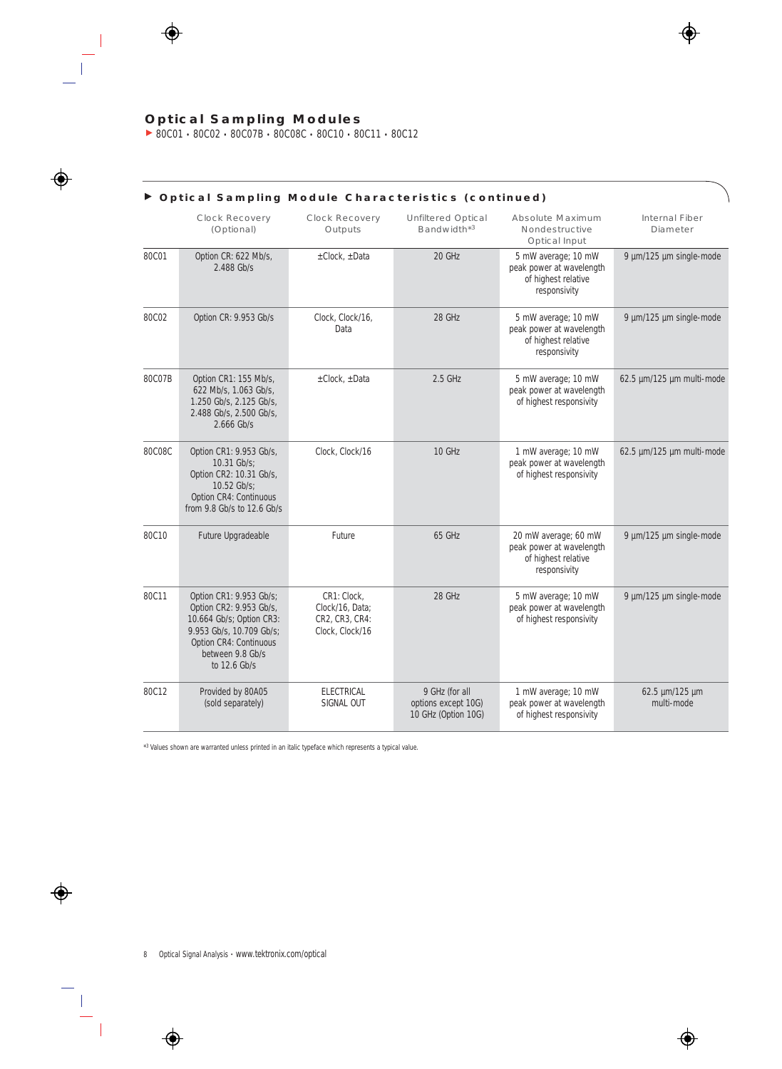80C01 • 80C02 • 80C07B • 80C08C • 80C10 • 80C11 • 80C12

|        | <b>Clock Recovery</b><br>(Optional)                                                                                                                                      | <b>Clock Recovery</b><br>Outputs                                    | <b>Unfiltered Optical</b><br>Bandwidth <sup>*3</sup>         | <b>Absolute Maximum</b><br>Nondestructive<br><b>Optical Input</b>                       | <b>Internal Fiber</b><br><b>Diameter</b> |
|--------|--------------------------------------------------------------------------------------------------------------------------------------------------------------------------|---------------------------------------------------------------------|--------------------------------------------------------------|-----------------------------------------------------------------------------------------|------------------------------------------|
| 80C01  | Option CR: 622 Mb/s,<br>2.488 Gb/s                                                                                                                                       | $\pm$ Clock, $\pm$ Data                                             | 20 GHz                                                       | 5 mW average; 10 mW<br>peak power at wavelength<br>of highest relative<br>responsivity  | 9 µm/125 µm single-mode                  |
| 80C02  | Option CR: 9.953 Gb/s                                                                                                                                                    | Clock, Clock/16,<br>Data                                            | 28 GHz                                                       | 5 mW average; 10 mW<br>peak power at wavelength<br>of highest relative<br>responsivity  | 9 µm/125 µm single-mode                  |
| 80C07B | Option CR1: 155 Mb/s,<br>622 Mb/s, 1.063 Gb/s,<br>1.250 Gb/s, 2.125 Gb/s,<br>2.488 Gb/s, 2.500 Gb/s,<br>2.666 Gb/s                                                       | $\pm$ Clock, $\pm$ Data                                             | $2.5$ GHz                                                    | 5 mW average; 10 mW<br>peak power at wavelength<br>of highest responsivity              | 62.5 µm/125 µm multi-mode                |
| 80C08C | Option CR1: 9.953 Gb/s,<br>10.31 Gb/s;<br>Option CR2: 10.31 Gb/s,<br>10.52 Gb/s;<br>Option CR4: Continuous<br>from 9.8 Gb/s to 12.6 Gb/s                                 | Clock, Clock/16                                                     | 10 GHz                                                       | 1 mW average; 10 mW<br>peak power at wavelength<br>of highest responsivity              | 62.5 µm/125 µm multi-mode                |
| 80C10  | Future Upgradeable                                                                                                                                                       | Future                                                              | 65 GHz                                                       | 20 mW average; 60 mW<br>peak power at wavelength<br>of highest relative<br>responsivity | 9 µm/125 µm single-mode                  |
| 80C11  | Option CR1: 9.953 Gb/s;<br>Option CR2: 9.953 Gb/s,<br>10.664 Gb/s; Option CR3:<br>9.953 Gb/s, 10.709 Gb/s;<br>Option CR4: Continuous<br>between 9.8 Gb/s<br>to 12.6 Gb/s | CR1: Clock,<br>Clock/16, Data;<br>CR2, CR3, CR4:<br>Clock, Clock/16 | 28 GHz                                                       | 5 mW average; 10 mW<br>peak power at wavelength<br>of highest responsivity              | 9 µm/125 µm single-mode                  |
| 80C12  | Provided by 80A05<br>(sold separately)                                                                                                                                   | <b>ELECTRICAL</b><br>SIGNAL OUT                                     | 9 GHz (for all<br>options except 10G)<br>10 GHz (Option 10G) | 1 mW average; 10 mW<br>peak power at wavelength<br>of highest responsivity              | 62.5 µm/125 µm<br>multi-mode             |

### **Optical Sampling Module Characteristics (continued)**

\*3 Values shown are warranted unless printed in an italic typeface which represents a typical value.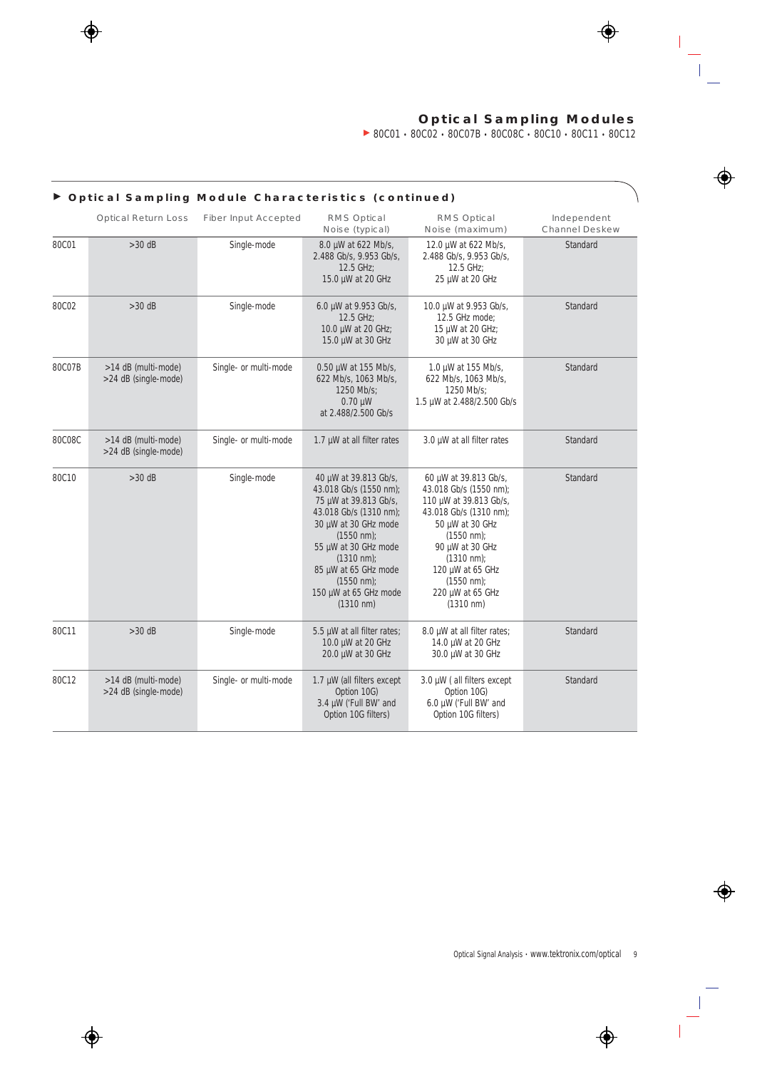▶ 80C01 • 80C02 • 80C07B • 80C08C • 80C10 • 80C11 • 80C12

|        | <b>Optical Return Loss</b>                  | <b>Fiber Input Accepted</b> | <b>RMS Optical</b><br>Noise (typical)                                                                                                                                                                                                                                                                     | <b>RMS Optical</b><br>Noise (maximum)                                                                                                                                                                                                                                                    | Independent<br><b>Channel Deskew</b> |
|--------|---------------------------------------------|-----------------------------|-----------------------------------------------------------------------------------------------------------------------------------------------------------------------------------------------------------------------------------------------------------------------------------------------------------|------------------------------------------------------------------------------------------------------------------------------------------------------------------------------------------------------------------------------------------------------------------------------------------|--------------------------------------|
| 80C01  | $>30$ dB                                    | Single-mode                 | 8.0 µW at 622 Mb/s,<br>2.488 Gb/s, 9.953 Gb/s,<br>12.5 GHz;<br>15.0 µW at 20 GHz                                                                                                                                                                                                                          | 12.0 µW at 622 Mb/s,<br>2.488 Gb/s, 9.953 Gb/s,<br>12.5 GHz;<br>25 µW at 20 GHz                                                                                                                                                                                                          | Standard                             |
| 80C02  | $>30$ dB                                    | Single-mode                 | 6.0 µW at 9.953 Gb/s,<br>12.5 GHz;<br>10.0 µW at 20 GHz;<br>15.0 µW at 30 GHz                                                                                                                                                                                                                             | 10.0 µW at 9.953 Gb/s,<br>12.5 GHz mode;<br>15 µW at 20 GHz;<br>30 µW at 30 GHz                                                                                                                                                                                                          | Standard                             |
| 80C07B | >14 dB (multi-mode)<br>>24 dB (single-mode) | Single- or multi-mode       | 0.50 µW at 155 Mb/s,<br>622 Mb/s, 1063 Mb/s,<br>$1250$ Mb/s;<br>$0.70 \mu W$<br>at 2.488/2.500 Gb/s                                                                                                                                                                                                       | 1.0 µW at 155 Mb/s,<br>622 Mb/s, 1063 Mb/s,<br>1250 Mb/s;<br>1.5 µW at 2.488/2.500 Gb/s                                                                                                                                                                                                  | Standard                             |
| 80C08C | >14 dB (multi-mode)<br>>24 dB (single-mode) | Single- or multi-mode       | 1.7 µW at all filter rates                                                                                                                                                                                                                                                                                | 3.0 µW at all filter rates                                                                                                                                                                                                                                                               | Standard                             |
| 80C10  | $>30$ dB                                    | Single-mode                 | 40 µW at 39.813 Gb/s,<br>43.018 Gb/s (1550 nm);<br>75 µW at 39.813 Gb/s,<br>$43.018$ Gb/s $(1310$ nm);<br>30 µW at 30 GHz mode<br>$(1550 \text{ nm})$ ;<br>55 µW at 30 GHz mode<br>$(1310 \text{ nm})$ ;<br>85 µW at 65 GHz mode<br>$(1550 \text{ nm})$ ;<br>150 µW at 65 GHz mode<br>$(1310 \text{ nm})$ | 60 µW at 39.813 Gb/s,<br>43.018 Gb/s (1550 nm);<br>110 µW at 39.813 Gb/s,<br>43.018 Gb/s (1310 nm);<br>50 µW at 30 GHz<br>$(1550 \text{ nm})$ ;<br>90 µW at 30 GHz<br>$(1310 \text{ nm})$ ;<br>120 $\mu$ W at 65 GHz<br>$(1550 \text{ nm})$ ;<br>220 µW at 65 GHz<br>$(1310 \text{ nm})$ | Standard                             |
| 80C11  | $>30$ dB                                    | Single-mode                 | 5.5 µW at all filter rates;<br>10.0 µW at 20 GHz<br>20.0 µW at 30 GHz                                                                                                                                                                                                                                     | 8.0 µW at all filter rates;<br>14.0 µW at 20 GHz<br>30.0 µW at 30 GHz                                                                                                                                                                                                                    | Standard                             |
| 80C12  | >14 dB (multi-mode)<br>>24 dB (single-mode) | Single- or multi-mode       | 1.7 µW (all filters except<br>Option 10G)<br>3.4 µW ('Full BW' and<br>Option 10G filters)                                                                                                                                                                                                                 | 3.0 µW (all filters except<br>Option 10G)<br>6.0 µW ('Full BW' and<br>Option 10G filters)                                                                                                                                                                                                | Standard                             |

# **Optical Sampling Module Characteristics (continued)**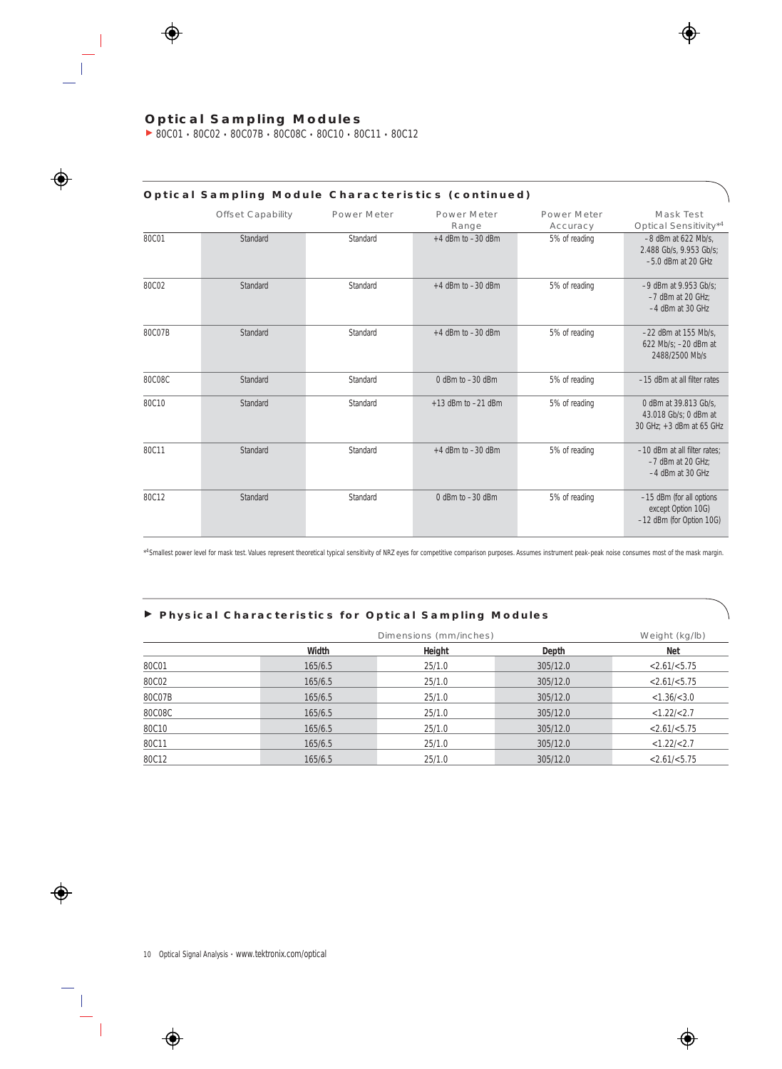80C01 • 80C02 • 80C07B • 80C08C • 80C10 • 80C11 • 80C12

|        | Optical Sampling Module Characteristics (continued) |                    |                             |                                |                                                                              |
|--------|-----------------------------------------------------|--------------------|-----------------------------|--------------------------------|------------------------------------------------------------------------------|
|        | <b>Offset Capability</b>                            | <b>Power Meter</b> | <b>Power Meter</b><br>Range | <b>Power Meter</b><br>Accuracy | Mask Test<br>Optical Sensitivity*4                                           |
| 80C01  | Standard                                            | Standard           | $+4$ dBm to $-30$ dBm       | 5% of reading                  | $-8$ dBm at 622 Mb/s.<br>2.488 Gb/s, 9.953 Gb/s;<br>$-5.0$ dBm at 20 GHz     |
| 80C02  | Standard                                            | Standard           | $+4$ dBm to $-30$ dBm       | 5% of reading                  | $-9$ dBm at 9.953 Gb/s:<br>$-7$ dBm at 20 GHz;<br>$-4$ dBm at 30 GHz         |
| 80C07B | Standard                                            | Standard           | $+4$ dBm to $-30$ dBm       | 5% of reading                  | $-22$ dBm at 155 Mb/s,<br>622 Mb/s; -20 dBm at<br>2488/2500 Mb/s             |
| 80C08C | Standard                                            | Standard           | $0$ dBm to $-30$ dBm        | 5% of reading                  | -15 dBm at all filter rates                                                  |
| 80C10  | Standard                                            | Standard           | $+13$ dBm to $-21$ dBm      | 5% of reading                  | 0 dBm at 39.813 Gb/s,<br>43.018 Gb/s: 0 dBm at<br>30 GHz; +3 dBm at 65 GHz   |
| 80C11  | Standard                                            | Standard           | $+4$ dBm to $-30$ dBm       | 5% of reading                  | -10 dBm at all filter rates:<br>$-7$ dBm at 20 GHz:<br>-4 dBm at 30 GHz      |
| 80C12  | Standard                                            | Standard           | $0$ dBm to $-30$ dBm        | 5% of reading                  | -15 dBm (for all options<br>except Option 10G)<br>$-12$ dBm (for Option 10G) |

### **Optical Sampling Module Characteristics (continued)**

\*4Smallest power level for mask test. Values represent theoretical typical sensitivity of NRZ eyes for competitive comparison purposes. Assumes instrument peak-peak noise consumes most of the mask margin.

## **Physical Characteristics for Optical Sampling Modules**

|        | Dimensions (mm/inches) |        |          | Weight (kg/lb)         |
|--------|------------------------|--------|----------|------------------------|
|        | Width                  | Height | Depth    | <b>Net</b>             |
| 80C01  | 165/6.5                | 25/1.0 | 305/12.0 | <2.61/ <sub>5.75</sub> |
| 80C02  | 165/6.5                | 25/1.0 | 305/12.0 | <2.61/ <sub>5.75</sub> |
| 80C07B | 165/6.5                | 25/1.0 | 305/12.0 | <1.36/<3.0             |
| 80C08C | 165/6.5                | 25/1.0 | 305/12.0 | <1.22/<2.7             |
| 80C10  | 165/6.5                | 25/1.0 | 305/12.0 | <2.61/<5.75            |
| 80C11  | 165/6.5                | 25/1.0 | 305/12.0 | <1.22/<2.7             |
| 80C12  | 165/6.5                | 25/1.0 | 305/12.0 | < 2.61 / < 5.75        |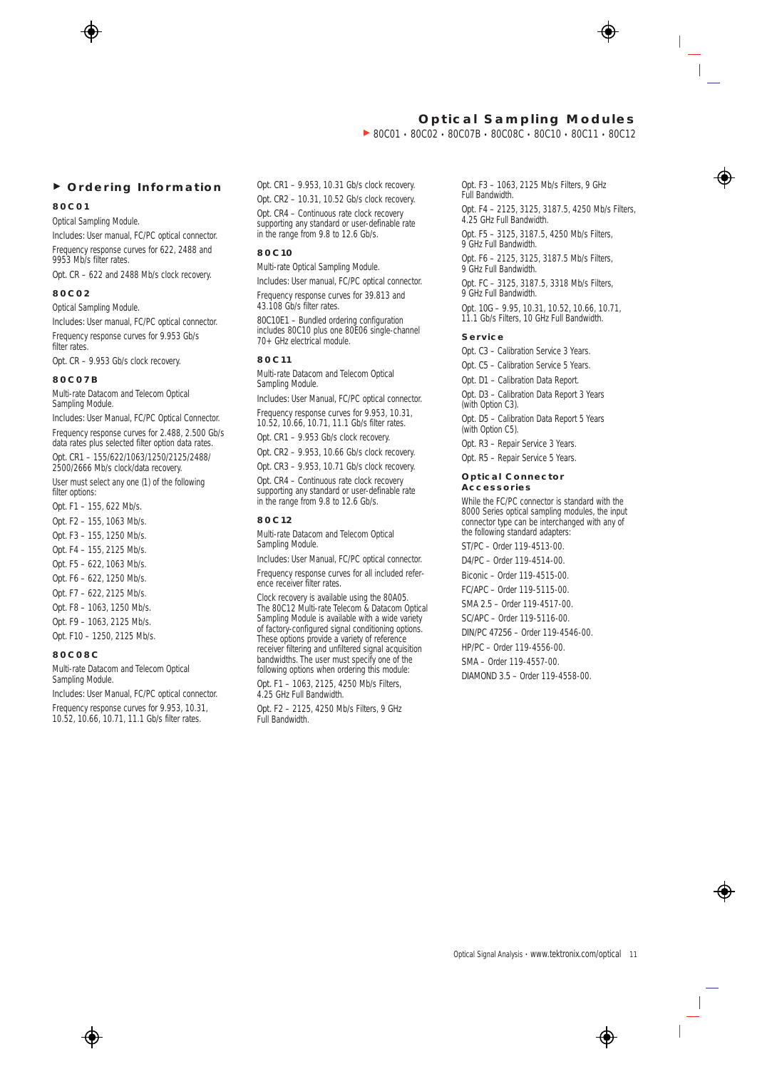### **Ordering Information**

#### **80C01**

Optical Sampling Module.

Includes: User manual, FC/PC optical connector. Frequency response curves for 622, 2488 and 9953 Mb/s filter rates.

Opt. CR - 622 and 2488 Mb/s clock recovery.

#### **80C02**

Optical Sampling Module.

Includes: User manual, FC/PC optical connector. Frequency response curves for 9.953 Gb/s

Opt. CR - 9.953 Gb/s clock recovery.

### **80C07B**

filter rates.

Multi-rate Datacom and Telecom Optical Sampling Module.

Includes: User Manual, FC/PC Optical Connector. Frequency response curves for 2.488, 2.500 Gb/s data rates plus selected filter option data rates.

Opt. CR1 – 155/622/1063/1250/2125/2488/ 2500/2666 Mb/s clock/data recovery.

User must select any one (1) of the following filter options:

Opt. F1 – 155, 622 Mb/s.

Opt. F2 – 155, 1063 Mb/s.

Opt. F3 – 155, 1250 Mb/s.

Opt. F4 – 155, 2125 Mb/s.

Opt. F5 – 622, 1063 Mb/s.

Opt. F6 – 622, 1250 Mb/s.

Opt. F7 – 622, 2125 Mb/s.

Opt. F8 – 1063, 1250 Mb/s.

Opt. F9 – 1063, 2125 Mb/s.

Opt. F10 – 1250, 2125 Mb/s.

#### **80C08C**

Multi-rate Datacom and Telecom Optical Sampling Module.

Includes: User Manual, FC/PC optical connector.

Frequency response curves for 9.953, 10.31, 10.52, 10.66, 10.71, 11.1 Gb/s filter rates.

Opt. CR1 – 9.953, 10.31 Gb/s clock recovery. Opt. CR2 – 10.31, 10.52 Gb/s clock recovery.

Opt. CR4 – Continuous rate clock recovery supporting any standard or user-definable rate in the range from 9.8 to 12.6 Gb/s.

#### **80C10**

Multi-rate Optical Sampling Module.

Includes: User manual, FC/PC optical connector.

Frequency response curves for 39.813 and

43.108 Gb/s filter rates.

80C10E1 – Bundled ordering configuration includes 80C10 plus one 80E06 single-channel 70+ GHz electrical module.

#### **80C11**

Multi-rate Datacom and Telecom Optical Sampling Module.

Includes: User Manual, FC/PC optical connector.

Frequency response curves for 9.953, 10.31,

10.52, 10.66, 10.71, 11.1 Gb/s filter rates. Opt. CR1 – 9.953 Gb/s clock recovery.

Opt. CR2 – 9.953, 10.66 Gb/s clock recovery.

Opt. CR3 – 9.953, 10.71 Gb/s clock recovery.

Opt. CR4 – Continuous rate clock recovery supporting any standard or user-definable rate in the range from 9.8 to 12.6 Gb/s.

#### **80C12**

Multi-rate Datacom and Telecom Optical Sampling Module.

Includes: User Manual, FC/PC optical connector.

Frequency response curves for all included reference receiver filter rates.

Clock recovery is available using the 80A05. The 80C12 Multi-rate Telecom & Datacom Optical Sampling Module is available with a wide variety of factory-configured signal conditioning options. These options provide a variety of reference receiver filtering and unfiltered signal acquisition bandwidths. The user must specify one of the following options when ordering this module:

Opt. F1 – 1063, 2125, 4250 Mb/s Filters, 4.25 GHz Full Bandwidth.

Opt. F2 – 2125, 4250 Mb/s Filters, 9 GHz Full Bandwidth.

Opt. F3 – 1063, 2125 Mb/s Filters, 9 GHz Full Bandwidth.

Opt. F4 – 2125, 3125, 3187.5, 4250 Mb/s Filters, 4.25 GHz Full Bandwidth.

Opt. F5 – 3125, 3187.5, 4250 Mb/s Filters, 9 GHz Full Bandwidth.

Opt. F6 – 2125, 3125, 3187.5 Mb/s Filters, 9 GHz Full Bandwidth.

Opt. FC – 3125, 3187.5, 3318 Mb/s Filters, 9 GHz Full Bandwidth.

Opt. 10G – 9.95, 10.31, 10.52, 10.66, 10.71, 11.1 Gb/s Filters, 10 GHz Full Bandwidth.

#### **Service**

Opt. C3 - Calibration Service 3 Years.

Opt. C5 - Calibration Service 5 Years.

Opt. D1 – Calibration Data Report.

Opt. D3 – Calibration Data Report 3 Years (with Option C3).

Opt. D5 – Calibration Data Report 5 Years (with Option C5).

Opt. R3 – Repair Service 3 Years.

Opt. R5 - Repair Service 5 Years.

#### **Optical Connector Accessories**

While the FC/PC connector is standard with the 8000 Series optical sampling modules, the input connector type can be interchanged with any of the following standard adapters:

ST/PC – Order 119-4513-00.

D4/PC – Order 119-4514-00.

Biconic – Order 119-4515-00.

FC/APC – Order 119-5115-00.

SMA 2.5 – Order 119-4517-00.

SC/APC – Order 119-5116-00.

DIN/PC 47256 – Order 119-4546-00.

HP/PC – Order 119-4556-00.

SMA – Order 119-4557-00.

DIAMOND 3.5 – Order 119-4558-00.

# **Optical Sampling Modules**

80C01 • 80C02 • 80C07B • 80C08C • 80C10 • 80C11 • 80C12